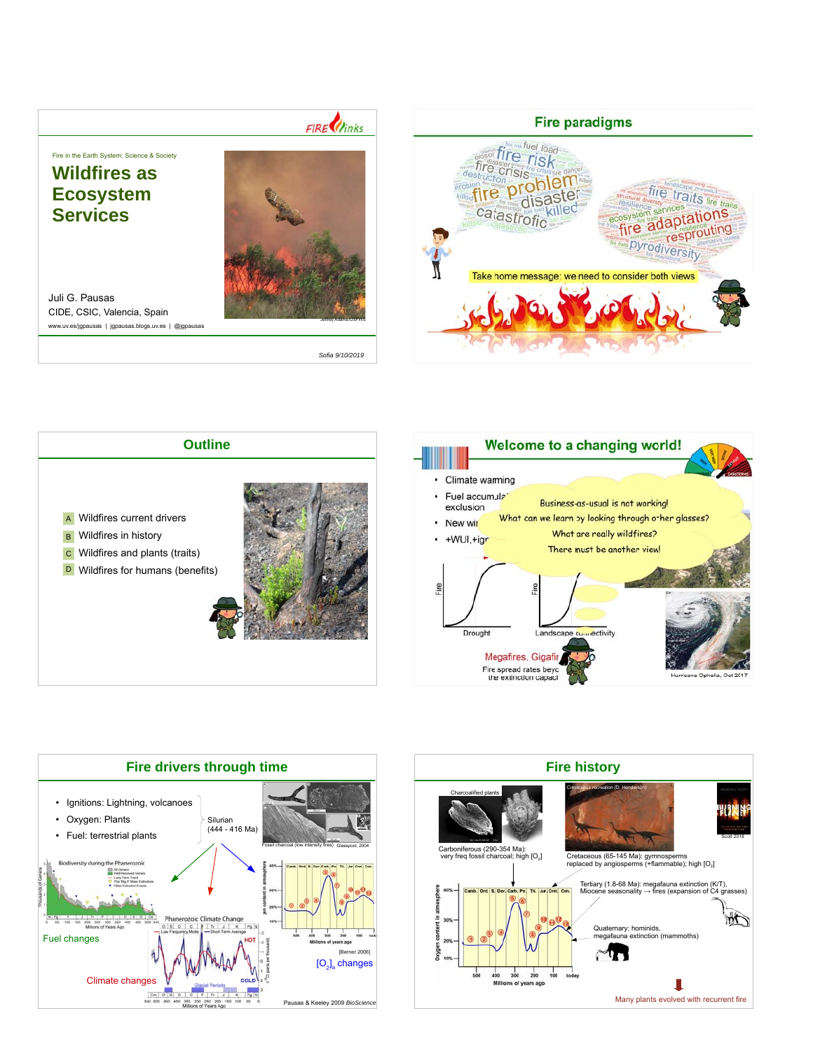## $FIRE$

Fire in the Earth System: Science & Society

## **Wildfires as Ecosystem Services**



Juli G. Pausas CIDE, CSIC, Valencia, Spain www.uv.es/jgpausas | jgpausas.blogs.uv.es | @jgpausas

*Sofia 9/10/2019*









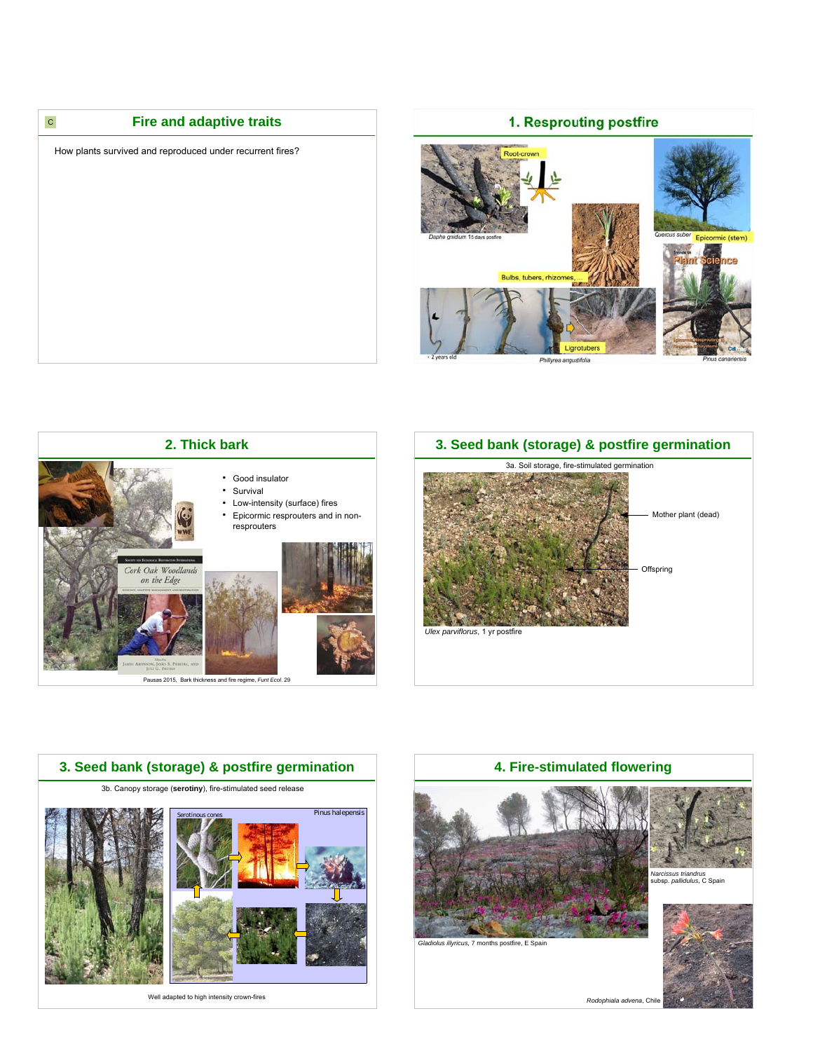

## 1. Resprouting postfire



**2. Thick bark** • Good insulator • Survival • Low-intensity (surface) fires • Epicormic resprouters and in nonresprouters Cork Oak Woodlands on the Edge Į

Pausas 2015, Bark thickness and fire regime, *Funt Ecol*. 29





Well adapted to high intensity crown-fires



*Rodophiala advena*, Chile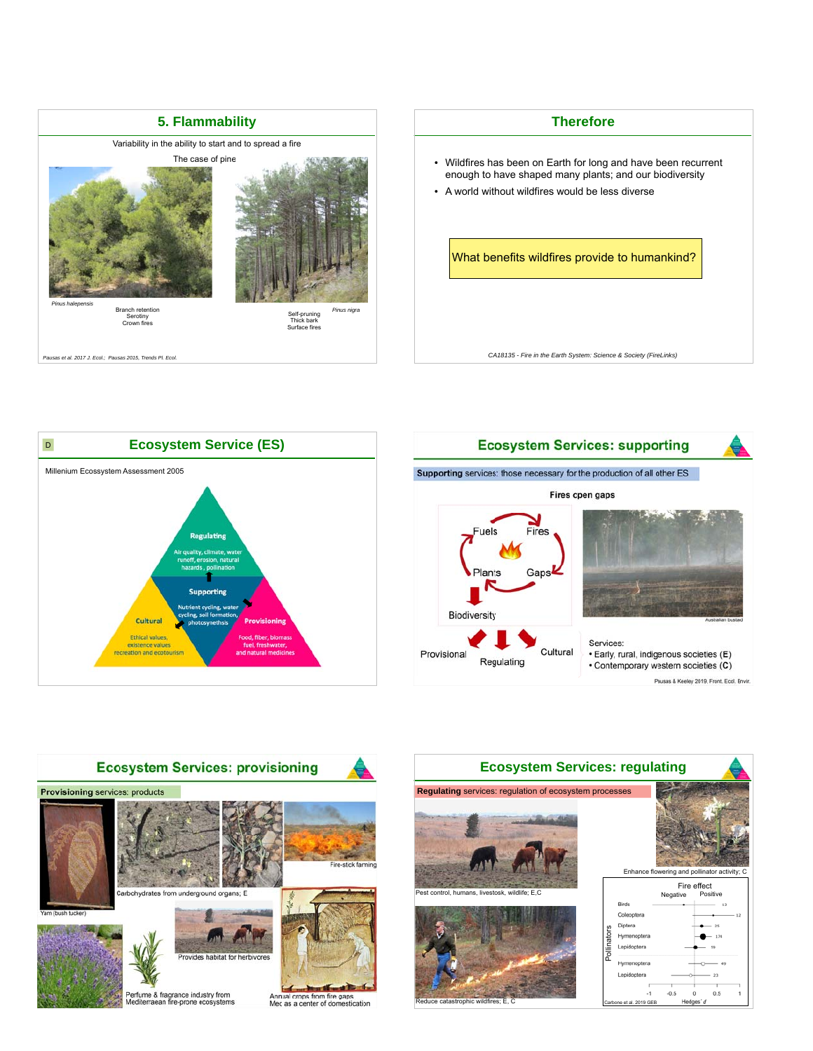



*CA18135 - Fire in the Earth System: Science & Society (FireLinks)*







Annual crops from fire gaps<br>Med as a center of domestication



rophic w

Carbone et al. 2019 GEB